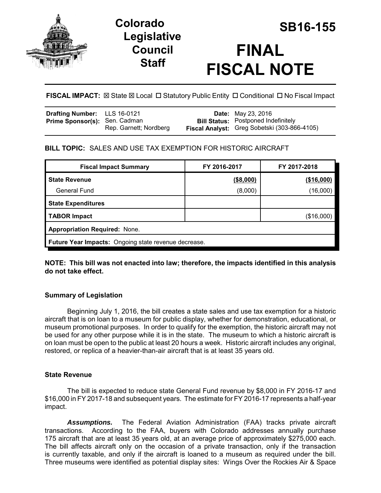

# **Legislative Council Staff**



**FISCAL IMPACT:**  $\boxtimes$  **State**  $\boxtimes$  **Local □ Statutory Public Entity □ Conditional □ No Fiscal Impact** 

| Drafting Number: LLS 16-0121         |                        | <b>Date:</b> May 23, 2016                                                                  |
|--------------------------------------|------------------------|--------------------------------------------------------------------------------------------|
| <b>Prime Sponsor(s): Sen. Cadman</b> | Rep. Garnett; Nordberg | <b>Bill Status:</b> Postponed Indefinitely<br>Fiscal Analyst: Greg Sobetski (303-866-4105) |
|                                      |                        |                                                                                            |

# **BILL TOPIC:** SALES AND USE TAX EXEMPTION FOR HISTORIC AIRCRAFT

| <b>Fiscal Impact Summary</b>                                | FY 2016-2017 | FY 2017-2018 |  |  |  |
|-------------------------------------------------------------|--------------|--------------|--|--|--|
| <b>State Revenue</b>                                        | ( \$8,000)   | (\$16,000)   |  |  |  |
| <b>General Fund</b>                                         | (8,000)      | (16,000)     |  |  |  |
| <b>State Expenditures</b>                                   |              |              |  |  |  |
| <b>TABOR Impact</b>                                         |              | (\$16,000)   |  |  |  |
| <b>Appropriation Required: None.</b>                        |              |              |  |  |  |
| <b>Future Year Impacts:</b> Ongoing state revenue decrease. |              |              |  |  |  |

**NOTE: This bill was not enacted into law; therefore, the impacts identified in this analysis do not take effect.**

# **Summary of Legislation**

Beginning July 1, 2016, the bill creates a state sales and use tax exemption for a historic aircraft that is on loan to a museum for public display, whether for demonstration, educational, or museum promotional purposes. In order to qualify for the exemption, the historic aircraft may not be used for any other purpose while it is in the state. The museum to which a historic aircraft is on loan must be open to the public at least 20 hours a week. Historic aircraft includes any original, restored, or replica of a heavier-than-air aircraft that is at least 35 years old.

## **State Revenue**

The bill is expected to reduce state General Fund revenue by \$8,000 in FY 2016-17 and \$16,000 in FY 2017-18 and subsequent years. The estimate for FY 2016-17 represents a half-year impact.

*Assumptions.* The Federal Aviation Administration (FAA) tracks private aircraft transactions. According to the FAA, buyers with Colorado addresses annually purchase 175 aircraft that are at least 35 years old, at an average price of approximately \$275,000 each. The bill affects aircraft only on the occasion of a private transaction, only if the transaction is currently taxable, and only if the aircraft is loaned to a museum as required under the bill. Three museums were identified as potential display sites: Wings Over the Rockies Air & Space